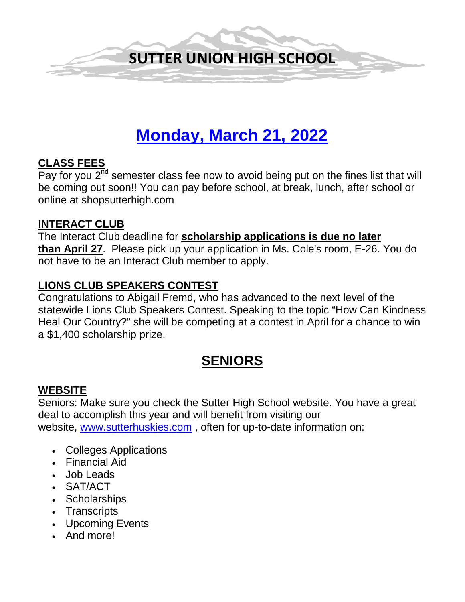

# **Monday, March 21, 2022**

#### **CLASS FEES**

Pay for you  $2<sup>nd</sup>$  semester class fee now to avoid being put on the fines list that will be coming out soon!! You can pay before school, at break, lunch, after school or online at shopsutterhigh.com

#### **INTERACT CLUB**

The Interact Club deadline for **scholarship applications is due no later than April 27**. Please pick up your application in Ms. Cole's room, E-26. You do not have to be an Interact Club member to apply.

# **LIONS CLUB SPEAKERS CONTEST**

Congratulations to Abigail Fremd, who has advanced to the next level of the statewide Lions Club Speakers Contest. Speaking to the topic "How Can Kindness Heal Our Country?" she will be competing at a contest in April for a chance to win a \$1,400 scholarship prize.

# **SENIORS**

#### **WEBSITE**

Seniors: Make sure you check the Sutter High School website. You have a great deal to accomplish this year and will benefit from visiting our website, [www.sutterhuskies.com](http://www.sutterhuskies.com/) , often for up-to-date information on:

- Colleges Applications
- Financial Aid
- Job Leads
- SAT/ACT
- Scholarships
- Transcripts
- Upcoming Events
- And more!